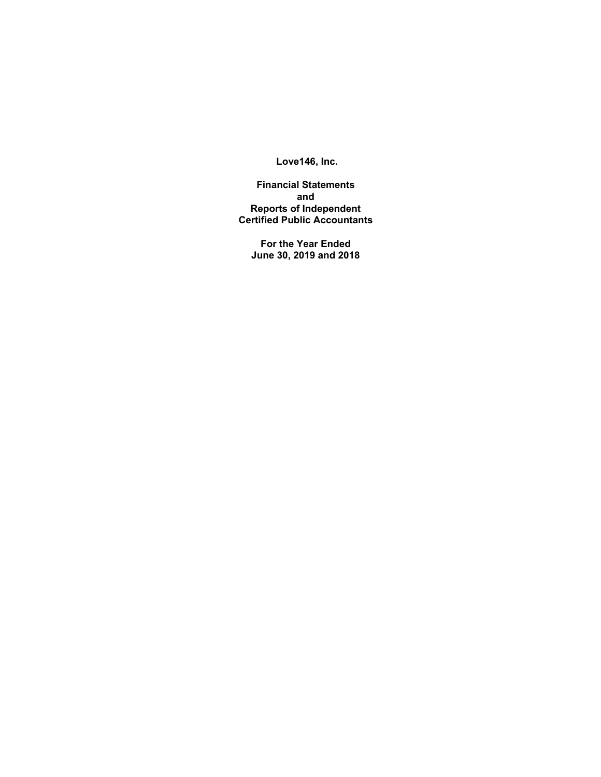**Love146, Inc.** 

 **Financial Statements and Reports of Independent Certified Public Accountants**

> **For the Year Ended June 30, 2019 and 2018**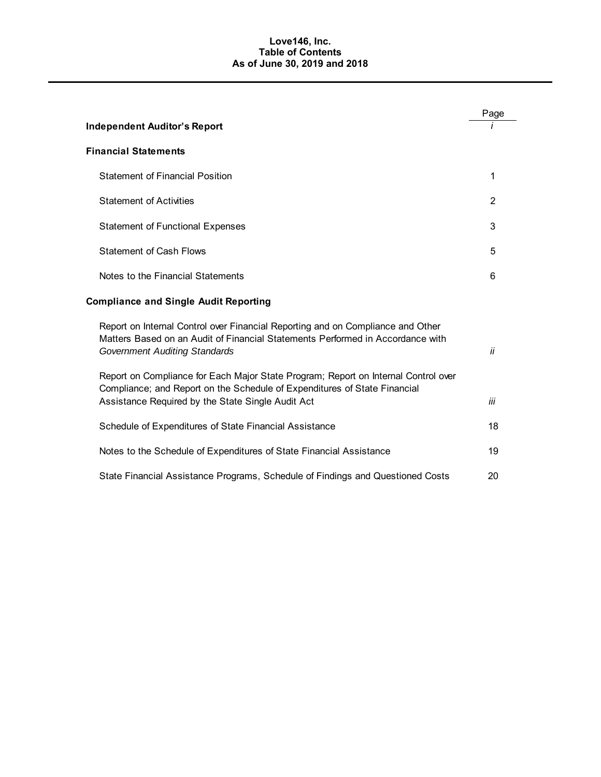## **Love146, Inc. Table of Contents As of June 30, 2019 and 2018**

|                                                                                                                                                                                                                      | Page |
|----------------------------------------------------------------------------------------------------------------------------------------------------------------------------------------------------------------------|------|
| <b>Independent Auditor's Report</b>                                                                                                                                                                                  |      |
| <b>Financial Statements</b>                                                                                                                                                                                          |      |
| <b>Statement of Financial Position</b>                                                                                                                                                                               | 1    |
| <b>Statement of Activities</b>                                                                                                                                                                                       | 2    |
| <b>Statement of Functional Expenses</b>                                                                                                                                                                              | 3    |
| <b>Statement of Cash Flows</b>                                                                                                                                                                                       | 5    |
| Notes to the Financial Statements                                                                                                                                                                                    | 6    |
| <b>Compliance and Single Audit Reporting</b>                                                                                                                                                                         |      |
| Report on Internal Control over Financial Reporting and on Compliance and Other<br>Matters Based on an Audit of Financial Statements Performed in Accordance with<br><b>Government Auditing Standards</b>            | ii   |
| Report on Compliance for Each Major State Program; Report on Internal Control over<br>Compliance; and Report on the Schedule of Expenditures of State Financial<br>Assistance Required by the State Single Audit Act | iii  |
| Schedule of Expenditures of State Financial Assistance                                                                                                                                                               | 18   |
| Notes to the Schedule of Expenditures of State Financial Assistance                                                                                                                                                  | 19   |
| State Financial Assistance Programs, Schedule of Findings and Questioned Costs                                                                                                                                       | 20   |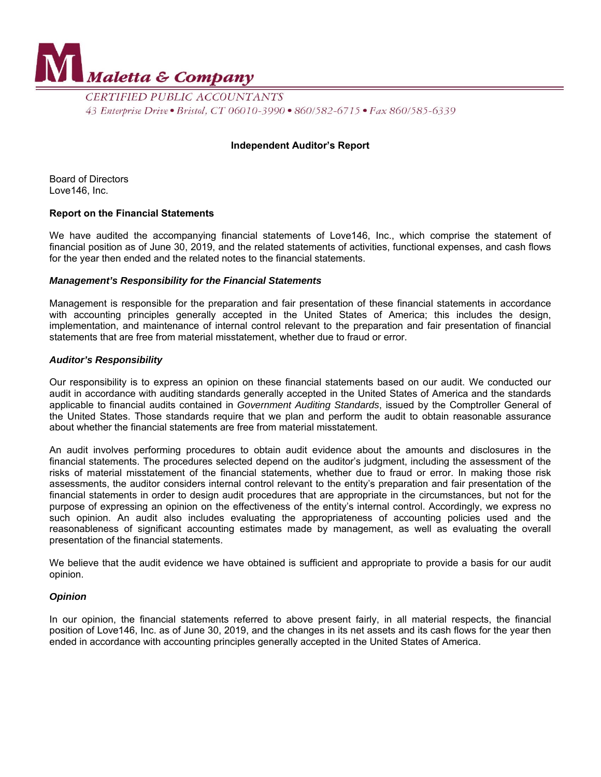

**CERTIFIED PUBLIC ACCOUNTANTS** 43 Enterprise Drive · Bristol, CT 06010-3990 · 860/582-6715 · Fax 860/585-6339

#### **Independent Auditor's Report**

Board of Directors Love146, Inc.

## **Report on the Financial Statements**

We have audited the accompanying financial statements of Love146, Inc., which comprise the statement of financial position as of June 30, 2019, and the related statements of activities, functional expenses, and cash flows for the year then ended and the related notes to the financial statements.

### *Management's Responsibility for the Financial Statements*

Management is responsible for the preparation and fair presentation of these financial statements in accordance with accounting principles generally accepted in the United States of America; this includes the design, implementation, and maintenance of internal control relevant to the preparation and fair presentation of financial statements that are free from material misstatement, whether due to fraud or error.

#### *Auditor's Responsibility*

Our responsibility is to express an opinion on these financial statements based on our audit. We conducted our audit in accordance with auditing standards generally accepted in the United States of America and the standards applicable to financial audits contained in *Government Auditing Standards*, issued by the Comptroller General of the United States. Those standards require that we plan and perform the audit to obtain reasonable assurance about whether the financial statements are free from material misstatement.

An audit involves performing procedures to obtain audit evidence about the amounts and disclosures in the financial statements. The procedures selected depend on the auditor's judgment, including the assessment of the risks of material misstatement of the financial statements, whether due to fraud or error. In making those risk assessments, the auditor considers internal control relevant to the entity's preparation and fair presentation of the financial statements in order to design audit procedures that are appropriate in the circumstances, but not for the purpose of expressing an opinion on the effectiveness of the entity's internal control. Accordingly, we express no such opinion. An audit also includes evaluating the appropriateness of accounting policies used and the reasonableness of significant accounting estimates made by management, as well as evaluating the overall presentation of the financial statements.

We believe that the audit evidence we have obtained is sufficient and appropriate to provide a basis for our audit opinion.

### *Opinion*

In our opinion, the financial statements referred to above present fairly, in all material respects, the financial position of Love146, Inc. as of June 30, 2019, and the changes in its net assets and its cash flows for the year then ended in accordance with accounting principles generally accepted in the United States of America.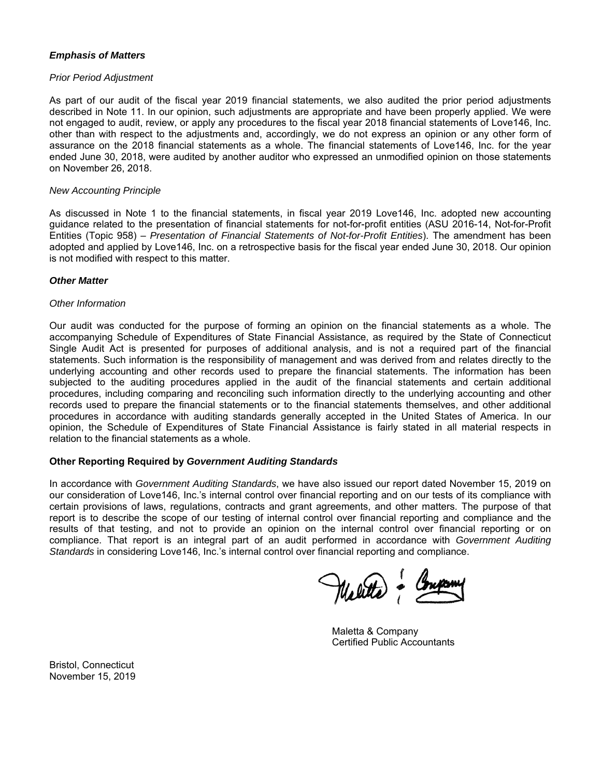### *Emphasis of Matters*

### *Prior Period Adjustment*

As part of our audit of the fiscal year 2019 financial statements, we also audited the prior period adjustments described in Note 11. In our opinion, such adjustments are appropriate and have been properly applied. We were not engaged to audit, review, or apply any procedures to the fiscal year 2018 financial statements of Love146, Inc. other than with respect to the adjustments and, accordingly, we do not express an opinion or any other form of assurance on the 2018 financial statements as a whole. The financial statements of Love146, Inc. for the year ended June 30, 2018, were audited by another auditor who expressed an unmodified opinion on those statements on November 26, 2018.

### *New Accounting Principle*

As discussed in Note 1 to the financial statements, in fiscal year 2019 Love146, Inc. adopted new accounting guidance related to the presentation of financial statements for not-for-profit entities (ASU 2016-14, Not-for-Profit Entities (Topic 958) – *Presentation of Financial Statements of Not-for-Profit Entities*). The amendment has been adopted and applied by Love146, Inc. on a retrospective basis for the fiscal year ended June 30, 2018. Our opinion is not modified with respect to this matter.

## *Other Matter*

#### *Other Information*

Our audit was conducted for the purpose of forming an opinion on the financial statements as a whole. The accompanying Schedule of Expenditures of State Financial Assistance, as required by the State of Connecticut Single Audit Act is presented for purposes of additional analysis, and is not a required part of the financial statements. Such information is the responsibility of management and was derived from and relates directly to the underlying accounting and other records used to prepare the financial statements. The information has been subjected to the auditing procedures applied in the audit of the financial statements and certain additional procedures, including comparing and reconciling such information directly to the underlying accounting and other records used to prepare the financial statements or to the financial statements themselves, and other additional procedures in accordance with auditing standards generally accepted in the United States of America. In our opinion, the Schedule of Expenditures of State Financial Assistance is fairly stated in all material respects in relation to the financial statements as a whole.

### **Other Reporting Required by** *Government Auditing Standards*

In accordance with *Government Auditing Standards*, we have also issued our report dated November 15, 2019 on our consideration of Love146, Inc.'s internal control over financial reporting and on our tests of its compliance with certain provisions of laws, regulations, contracts and grant agreements, and other matters. The purpose of that report is to describe the scope of our testing of internal control over financial reporting and compliance and the results of that testing, and not to provide an opinion on the internal control over financial reporting or on compliance. That report is an integral part of an audit performed in accordance with *Government Auditing Standards* in considering Love146, Inc.'s internal control over financial reporting and compliance.

Malitte :

Maletta & Company Certified Public Accountants

Bristol, Connecticut November 15, 2019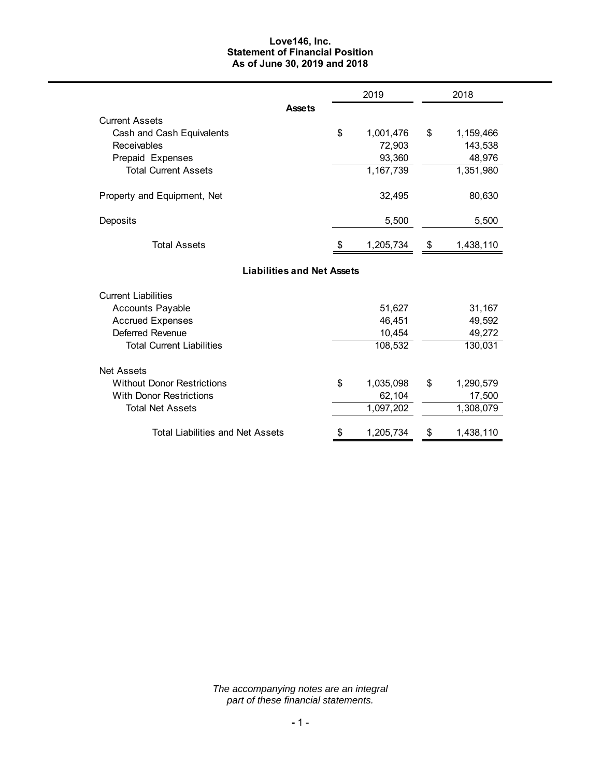### **Love146, Inc. Statement of Financial Position As of June 30, 2019 and 2018**

|                                         |    | 2019      |    |           |  | 2018 |
|-----------------------------------------|----|-----------|----|-----------|--|------|
| <b>Assets</b>                           |    |           |    |           |  |      |
| <b>Current Assets</b>                   |    |           |    |           |  |      |
| Cash and Cash Equivalents               | \$ | 1,001,476 | \$ | 1,159,466 |  |      |
| Receivables                             |    | 72,903    |    | 143,538   |  |      |
| Prepaid Expenses                        |    | 93,360    |    | 48,976    |  |      |
| <b>Total Current Assets</b>             |    | 1,167,739 |    | 1,351,980 |  |      |
| Property and Equipment, Net             |    | 32,495    |    | 80,630    |  |      |
| Deposits                                |    | 5,500     |    | 5,500     |  |      |
| <b>Total Assets</b>                     | \$ | 1,205,734 | \$ | 1,438,110 |  |      |
| <b>Liabilities and Net Assets</b>       |    |           |    |           |  |      |
| <b>Current Liabilities</b>              |    |           |    |           |  |      |
| <b>Accounts Payable</b>                 |    | 51,627    |    | 31,167    |  |      |
| <b>Accrued Expenses</b>                 |    | 46,451    |    | 49,592    |  |      |
| <b>Deferred Revenue</b>                 |    | 10,454    |    | 49,272    |  |      |
| <b>Total Current Liabilities</b>        |    | 108,532   |    | 130,031   |  |      |
| <b>Net Assets</b>                       |    |           |    |           |  |      |
| <b>Without Donor Restrictions</b>       | \$ | 1,035,098 | \$ | 1,290,579 |  |      |
| <b>With Donor Restrictions</b>          |    | 62,104    |    | 17,500    |  |      |
| <b>Total Net Assets</b>                 |    | 1,097,202 |    | 1,308,079 |  |      |
| <b>Total Liabilities and Net Assets</b> | \$ | 1,205,734 | \$ | 1,438,110 |  |      |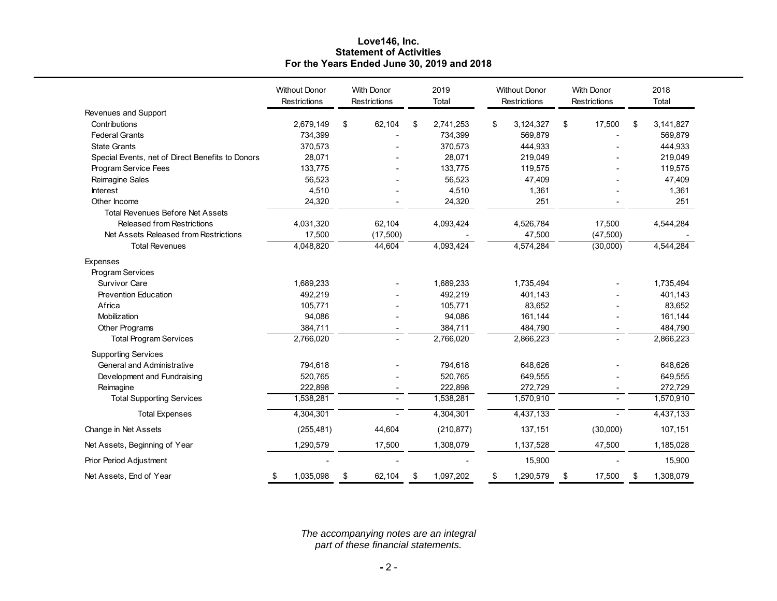### **Love146, Inc. Statement of Activities For the Years Ended June 30, 2019 and 2018**

|                                                  | <b>Without Donor</b><br><b>With Donor</b><br>2019<br>Total<br><b>Restrictions</b><br><b>Restrictions</b> |              | <b>Without Donor</b><br><b>With Donor</b><br><b>Restrictions</b><br><b>Restrictions</b> |                 | 2018<br>Total |                          |                 |
|--------------------------------------------------|----------------------------------------------------------------------------------------------------------|--------------|-----------------------------------------------------------------------------------------|-----------------|---------------|--------------------------|-----------------|
| Revenues and Support                             |                                                                                                          |              |                                                                                         |                 |               |                          |                 |
| Contributions                                    | 2,679,149                                                                                                | \$<br>62,104 | \$<br>2,741,253                                                                         | \$<br>3,124,327 | \$            | 17,500                   | \$<br>3,141,827 |
| <b>Federal Grants</b>                            | 734,399                                                                                                  |              | 734,399                                                                                 | 569.879         |               |                          | 569,879         |
| <b>State Grants</b>                              | 370,573                                                                                                  |              | 370,573                                                                                 | 444,933         |               |                          | 444,933         |
| Special Events, net of Direct Benefits to Donors | 28,071                                                                                                   |              | 28,071                                                                                  | 219,049         |               |                          | 219,049         |
| Program Service Fees                             | 133,775                                                                                                  |              | 133,775                                                                                 | 119,575         |               |                          | 119,575         |
| Reimagine Sales                                  | 56,523                                                                                                   |              | 56,523                                                                                  | 47,409          |               |                          | 47,409          |
| <b>Interest</b>                                  | 4,510                                                                                                    |              | 4,510                                                                                   | 1,361           |               |                          | 1,361           |
| Other Income                                     | 24,320                                                                                                   |              | 24,320                                                                                  | 251             |               |                          | 251             |
| <b>Total Revenues Before Net Assets</b>          |                                                                                                          |              |                                                                                         |                 |               |                          |                 |
| <b>Released from Restrictions</b>                | 4,031,320                                                                                                | 62,104       | 4,093,424                                                                               | 4,526,784       |               | 17,500                   | 4,544,284       |
| Net Assets Released from Restrictions            | 17,500                                                                                                   | (17,500)     |                                                                                         | 47,500          |               | (47,500)                 |                 |
| <b>Total Revenues</b>                            | 4,048,820                                                                                                | 44,604       | 4,093,424                                                                               | 4,574,284       |               | (30,000)                 | 4,544,284       |
| Expenses                                         |                                                                                                          |              |                                                                                         |                 |               |                          |                 |
| Program Services                                 |                                                                                                          |              |                                                                                         |                 |               |                          |                 |
| Survivor Care                                    | 1,689,233                                                                                                |              | 1,689,233                                                                               | 1,735,494       |               |                          | 1,735,494       |
| <b>Prevention Education</b>                      | 492,219                                                                                                  |              | 492,219                                                                                 | 401,143         |               |                          | 401,143         |
| Africa                                           | 105,771                                                                                                  |              | 105,771                                                                                 | 83,652          |               |                          | 83,652          |
| Mobilization                                     | 94,086                                                                                                   |              | 94,086                                                                                  | 161,144         |               |                          | 161,144         |
| Other Programs                                   | 384,711                                                                                                  |              | 384,711                                                                                 | 484,790         |               |                          | 484,790         |
| <b>Total Program Services</b>                    | 2,766,020                                                                                                |              | 2,766,020                                                                               | 2,866,223       |               | $\overline{\phantom{a}}$ | 2,866,223       |
| <b>Supporting Services</b>                       |                                                                                                          |              |                                                                                         |                 |               |                          |                 |
| General and Administrative                       | 794,618                                                                                                  |              | 794,618                                                                                 | 648,626         |               |                          | 648,626         |
| Development and Fundraising                      | 520,765                                                                                                  |              | 520,765                                                                                 | 649,555         |               |                          | 649,555         |
| Reimagine                                        | 222,898                                                                                                  |              | 222,898                                                                                 | 272,729         |               |                          | 272,729         |
| <b>Total Supporting Services</b>                 | 1,538,281                                                                                                |              | 1,538,281                                                                               | 1,570,910       |               |                          | 1,570,910       |
| <b>Total Expenses</b>                            | 4,304,301                                                                                                |              | 4,304,301                                                                               | 4,437,133       |               |                          | 4,437,133       |
| Change in Net Assets                             | (255, 481)                                                                                               | 44,604       | (210, 877)                                                                              | 137,151         |               | (30,000)                 | 107,151         |
| Net Assets, Beginning of Year                    | 1,290,579                                                                                                | 17,500       | 1,308,079                                                                               | 1,137,528       |               | 47,500                   | 1,185,028       |
| Prior Period Adjustment                          |                                                                                                          |              |                                                                                         | 15,900          |               |                          | 15,900          |
| Net Assets, End of Year                          | 1,035,098<br>\$                                                                                          | 62,104<br>\$ | \$<br>1,097,202                                                                         | \$<br>1,290,579 | \$            | 17,500                   | \$<br>1,308,079 |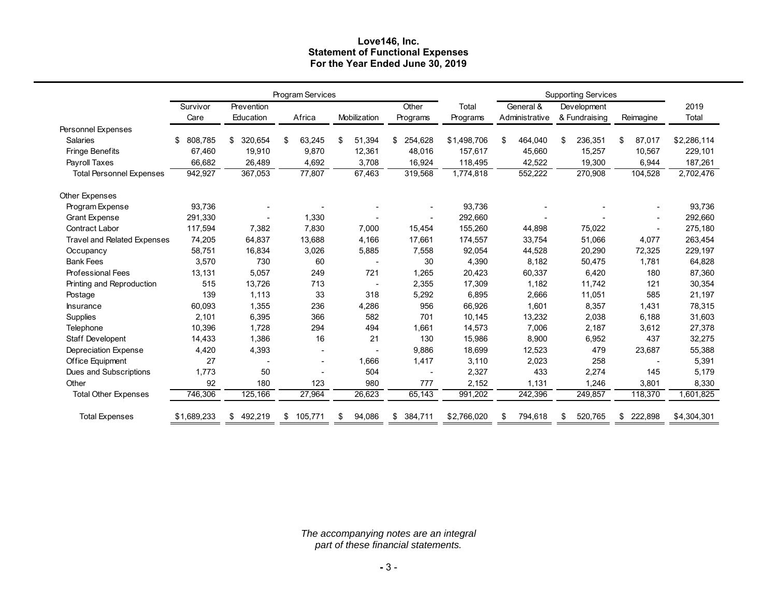#### **Love146, Inc. Statement of Functional Expenses For the Year Ended June 30, 2019**

|                                    |               |               | <b>Program Services</b> |              |               | <b>Supporting Services</b> |                |               |               |             |  |  |  |
|------------------------------------|---------------|---------------|-------------------------|--------------|---------------|----------------------------|----------------|---------------|---------------|-------------|--|--|--|
|                                    | Survivor      | Prevention    |                         |              | Other         | Total                      | General &      | Development   |               | 2019        |  |  |  |
|                                    | Care          | Education     | Africa                  | Mobilization | Programs      | Programs                   | Administrative | & Fundraising | Reimagine     | Total       |  |  |  |
| Personnel Expenses                 |               |               |                         |              |               |                            |                |               |               |             |  |  |  |
| <b>Salaries</b>                    | 808,785<br>\$ | \$<br>320,654 | \$<br>63,245            | 51,394<br>\$ | 254,628<br>\$ | \$1,498,706                | 464,040<br>\$  | \$<br>236,351 | \$<br>87,017  | \$2,286,114 |  |  |  |
| <b>Fringe Benefits</b>             | 67,460        | 19,910        | 9,870                   | 12,361       | 48,016        | 157,617                    | 45,660         | 15,257        | 10,567        | 229,101     |  |  |  |
| Payroll Taxes                      | 66,682        | 26,489        | 4,692                   | 3,708        | 16,924        | 118,495                    | 42,522         | 19,300        | 6,944         | 187,261     |  |  |  |
| <b>Total Personnel Expenses</b>    | 942,927       | 367,053       | 77,807                  | 67,463       | 319,568       | 1,774,818                  | 552,222        | 270,908       | 104,528       | 2,702,476   |  |  |  |
| <b>Other Expenses</b>              |               |               |                         |              |               |                            |                |               |               |             |  |  |  |
| Program Expense                    | 93,736        |               |                         |              |               | 93,736                     |                |               |               | 93,736      |  |  |  |
| Grant Expense                      | 291,330       |               | 1,330                   |              |               | 292,660                    |                |               |               | 292,660     |  |  |  |
| Contract Labor                     | 117,594       | 7,382         | 7,830                   | 7,000        | 15,454        | 155,260                    | 44,898         | 75,022        |               | 275,180     |  |  |  |
| <b>Travel and Related Expenses</b> | 74,205        | 64,837        | 13,688                  | 4,166        | 17,661        | 174,557                    | 33,754         | 51,066        | 4,077         | 263,454     |  |  |  |
| Occupancy                          | 58,751        | 16,834        | 3,026                   | 5,885        | 7,558         | 92,054                     | 44,528         | 20,290        | 72,325        | 229,197     |  |  |  |
| <b>Bank Fees</b>                   | 3,570         | 730           | 60                      |              | 30            | 4,390                      | 8,182          | 50,475        | 1,781         | 64,828      |  |  |  |
| <b>Professional Fees</b>           | 13,131        | 5,057         | 249                     | 721          | 1,265         | 20,423                     | 60,337         | 6,420         | 180           | 87,360      |  |  |  |
| Printing and Reproduction          | 515           | 13,726        | 713                     |              | 2,355         | 17,309                     | 1,182          | 11.742        | 121           | 30,354      |  |  |  |
| Postage                            | 139           | 1,113         | 33                      | 318          | 5,292         | 6,895                      | 2,666          | 11,051        | 585           | 21,197      |  |  |  |
| <b>Insurance</b>                   | 60,093        | 1,355         | 236                     | 4,286        | 956           | 66,926                     | 1,601          | 8,357         | 1,431         | 78,315      |  |  |  |
| Supplies                           | 2,101         | 6,395         | 366                     | 582          | 701           | 10,145                     | 13,232         | 2,038         | 6,188         | 31,603      |  |  |  |
| Telephone                          | 10,396        | 1,728         | 294                     | 494          | 1,661         | 14,573                     | 7,006          | 2,187         | 3,612         | 27,378      |  |  |  |
| Staff Developent                   | 14,433        | 1,386         | 16                      | 21           | 130           | 15,986                     | 8,900          | 6,952         | 437           | 32,275      |  |  |  |
| Depreciation Expense               | 4,420         | 4,393         |                         |              | 9.886         | 18,699                     | 12,523         | 479           | 23,687        | 55,388      |  |  |  |
| Office Equipment                   | 27            |               |                         | 1,666        | 1,417         | 3,110                      | 2,023          | 258           |               | 5,391       |  |  |  |
| Dues and Subscriptions             | 1.773         | 50            |                         | 504          |               | 2,327                      | 433            | 2,274         | 145           | 5.179       |  |  |  |
| Other                              | 92            | 180           | 123                     | 980          | 777           | 2,152                      | 1,131          | 1,246         | 3,801         | 8,330       |  |  |  |
| <b>Total Other Expenses</b>        | 746.306       | 125,166       | 27,964                  | 26.623       | 65.143        | 991,202                    | 242,396        | 249,857       | 118,370       | 1,601,825   |  |  |  |
| <b>Total Expenses</b>              | \$1,689,233   | 492,219<br>\$ | 105,771<br>\$           | 94,086       | 384,711<br>S  | \$2,766,020                | 794,618        | 520,765<br>\$ | \$<br>222,898 | \$4,304,301 |  |  |  |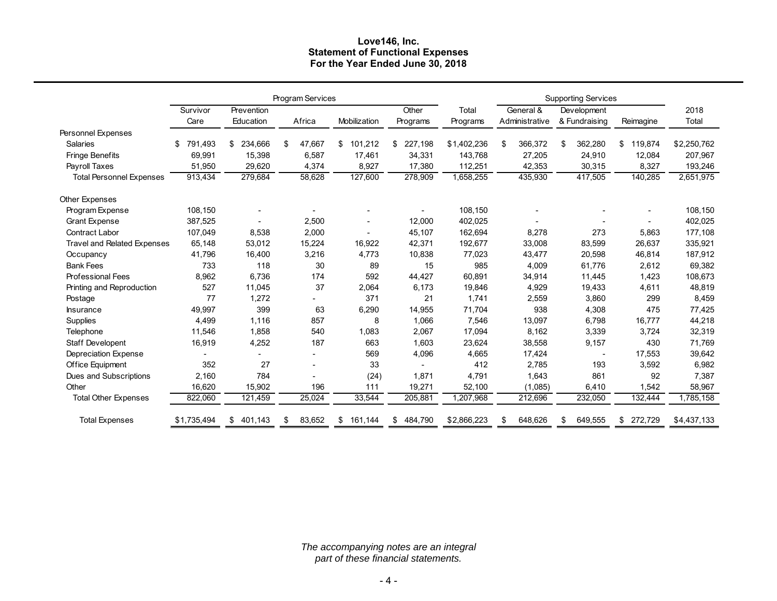#### **Love146, Inc. Statement of Functional Expenses For the Year Ended June 30, 2018**

|                                 | Program Services |               |                          |                |                |             | <b>Supporting Services</b> |               |               |             |
|---------------------------------|------------------|---------------|--------------------------|----------------|----------------|-------------|----------------------------|---------------|---------------|-------------|
|                                 | Survivor         | Prevention    |                          |                | Other          | Total       | General &                  | Development   |               | 2018        |
|                                 | Care             | Education     | Africa                   | Mobilization   | Programs       | Programs    | Administrative             | & Fundraising | Reimagine     | Total       |
| Personnel Expenses              |                  |               |                          |                |                |             |                            |               |               |             |
| <b>Salaries</b>                 | \$<br>791,493    | \$<br>234,666 | 47,667<br>\$             | 101,212<br>\$  | 227,198<br>\$  | \$1,402,236 | 366,372<br>\$              | 362,280<br>\$ | \$<br>119,874 | \$2,250,762 |
| <b>Fringe Benefits</b>          | 69,991           | 15,398        | 6,587                    | 17,461         | 34,331         | 143,768     | 27,205                     | 24,910        | 12,084        | 207,967     |
| Payroll Taxes                   | 51,950           | 29,620        | 4,374                    | 8,927          | 17,380         | 112,251     | 42,353                     | 30,315        | 8,327         | 193,246     |
| <b>Total Personnel Expenses</b> | 913,434          | 279,684       | 58,628                   | 127,600        | 278,909        | 1,658,255   | 435,930                    | 417,505       | 140,285       | 2,651,975   |
| <b>Other Expenses</b>           |                  |               |                          |                |                |             |                            |               |               |             |
| Program Expense                 | 108,150          |               |                          |                |                | 108,150     |                            |               |               | 108,150     |
| <b>Grant Expense</b>            | 387,525          |               | 2,500                    |                | 12,000         | 402,025     |                            |               |               | 402,025     |
| <b>Contract Labor</b>           | 107,049          | 8,538         | 2,000                    | $\overline{a}$ | 45,107         | 162,694     | 8,278                      | 273           | 5,863         | 177,108     |
| Travel and Related Expenses     | 65,148           | 53,012        | 15,224                   | 16,922         | 42,371         | 192,677     | 33,008                     | 83,599        | 26,637        | 335,921     |
| Occupancy                       | 41,796           | 16,400        | 3,216                    | 4,773          | 10,838         | 77,023      | 43,477                     | 20,598        | 46,814        | 187,912     |
| <b>Bank Fees</b>                | 733              | 118           | 30                       | 89             | 15             | 985         | 4,009                      | 61,776        | 2,612         | 69,382      |
| <b>Professional Fees</b>        | 8,962            | 6,736         | 174                      | 592            | 44,427         | 60,891      | 34,914                     | 11,445        | 1,423         | 108,673     |
| Printing and Reproduction       | 527              | 11.045        | 37                       | 2,064          | 6.173          | 19,846      | 4,929                      | 19,433        | 4,611         | 48,819      |
| Postage                         | 77               | 1,272         | $\overline{a}$           | 371            | 21             | 1,741       | 2,559                      | 3,860         | 299           | 8,459       |
| <b>Insurance</b>                | 49,997           | 399           | 63                       | 6,290          | 14,955         | 71,704      | 938                        | 4,308         | 475           | 77,425      |
| Supplies                        | 4,499            | 1,116         | 857                      | 8              | 1,066          | 7,546       | 13,097                     | 6,798         | 16,777        | 44,218      |
| Telephone                       | 11,546           | 1,858         | 540                      | 1,083          | 2,067          | 17,094      | 8,162                      | 3,339         | 3,724         | 32,319      |
| <b>Staff Developent</b>         | 16,919           | 4,252         | 187                      | 663            | 1,603          | 23,624      | 38,558                     | 9,157         | 430           | 71,769      |
| Depreciation Expense            |                  | ٠             | ٠                        | 569            | 4,096          | 4,665       | 17,424                     |               | 17,553        | 39,642      |
| Office Equipment                | 352              | 27            | $\overline{\phantom{0}}$ | 33             | $\overline{a}$ | 412         | 2,785                      | 193           | 3,592         | 6,982       |
| Dues and Subscriptions          | 2.160            | 784           |                          | (24)           | 1,871          | 4,791       | 1,643                      | 861           | 92            | 7,387       |
| Other                           | 16,620           | 15,902        | 196                      | 111            | 19,271         | 52,100      | (1,085)                    | 6,410         | 1,542         | 58,967      |
| <b>Total Other Expenses</b>     | 822.060          | 121,459       | 25.024                   | 33.544         | 205,881        | 1,207,968   | 212,696                    | 232,050       | 132,444       | 1,785,158   |
| <b>Total Expenses</b>           | \$1,735,494      | 401.143<br>\$ | 83,652<br>S              | 161.144<br>\$  | 484,790<br>\$  | \$2,866,223 | 648,626<br>\$              | 649,555<br>S  | \$<br>272,729 | \$4,437,133 |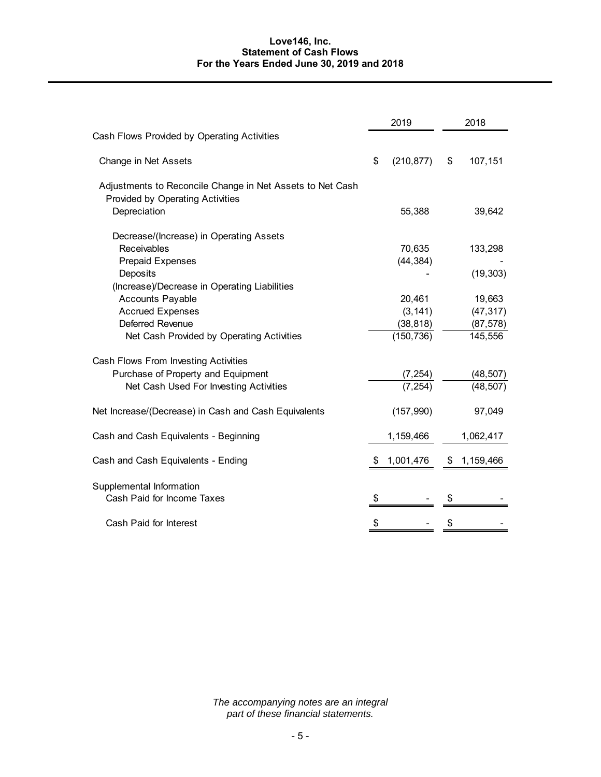### **Love146, Inc. Statement of Cash Flows For the Years Ended June 30, 2019 and 2018**

|                                                                                               | 2019 |            | 2018 |           |
|-----------------------------------------------------------------------------------------------|------|------------|------|-----------|
| Cash Flows Provided by Operating Activities                                                   |      |            |      |           |
| Change in Net Assets                                                                          | \$   | (210, 877) | \$   | 107,151   |
| Adjustments to Reconcile Change in Net Assets to Net Cash<br>Provided by Operating Activities |      |            |      |           |
| Depreciation                                                                                  |      | 55,388     |      | 39,642    |
| Decrease/(Increase) in Operating Assets                                                       |      |            |      |           |
| Receivables                                                                                   |      | 70,635     |      | 133,298   |
| <b>Prepaid Expenses</b>                                                                       |      | (44, 384)  |      |           |
| Deposits                                                                                      |      |            |      | (19, 303) |
| (Increase)/Decrease in Operating Liabilities                                                  |      |            |      |           |
| <b>Accounts Payable</b>                                                                       |      | 20,461     |      | 19,663    |
| <b>Accrued Expenses</b>                                                                       |      | (3, 141)   |      | (47, 317) |
| <b>Deferred Revenue</b>                                                                       |      | (38, 818)  |      | (87, 578) |
| Net Cash Provided by Operating Activities                                                     |      | (150, 736) |      | 145,556   |
| Cash Flows From Investing Activities                                                          |      |            |      |           |
| Purchase of Property and Equipment                                                            |      | (7, 254)   |      | (48, 507) |
| Net Cash Used For Investing Activities                                                        |      | (7,254)    |      | (48, 507) |
| Net Increase/(Decrease) in Cash and Cash Equivalents                                          |      | (157, 990) |      | 97,049    |
| Cash and Cash Equivalents - Beginning                                                         |      | 1,159,466  |      | 1,062,417 |
| Cash and Cash Equivalents - Ending                                                            | \$   | 1,001,476  | \$   | 1,159,466 |
| Supplemental Information                                                                      |      |            |      |           |
| Cash Paid for Income Taxes                                                                    | S    |            | \$   |           |
| Cash Paid for Interest                                                                        | \$   |            | \$   |           |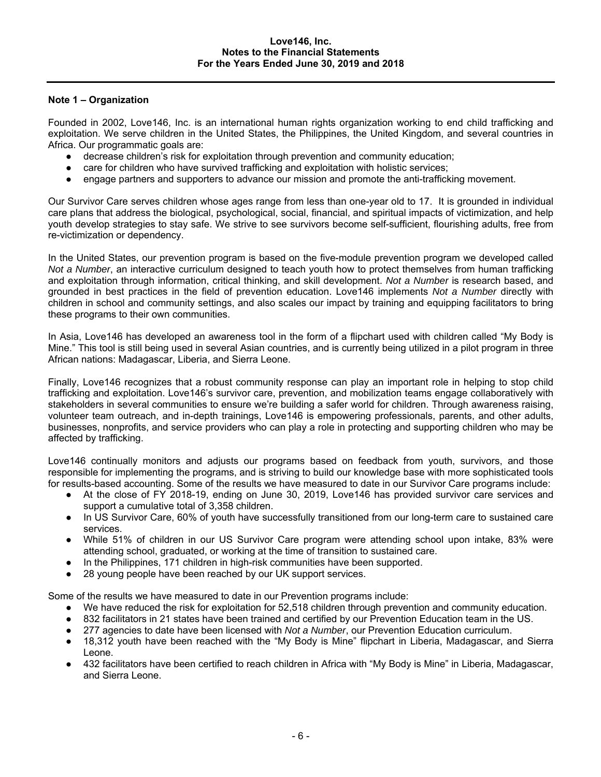# **Note 1 – Organization**

Founded in 2002, Love146, Inc. is an international human rights organization working to end child trafficking and exploitation. We serve children in the United States, the Philippines, the United Kingdom, and several countries in Africa. Our programmatic goals are:

- decrease children's risk for exploitation through prevention and community education;
- care for children who have survived trafficking and exploitation with holistic services;
- engage partners and supporters to advance our mission and promote the anti-trafficking movement.

Our Survivor Care serves children whose ages range from less than one-year old to 17. It is grounded in individual care plans that address the biological, psychological, social, financial, and spiritual impacts of victimization, and help youth develop strategies to stay safe. We strive to see survivors become self-sufficient, flourishing adults, free from re-victimization or dependency.

In the United States, our prevention program is based on the five-module prevention program we developed called *Not a Number*, an interactive curriculum designed to teach youth how to protect themselves from human trafficking and exploitation through information, critical thinking, and skill development. *Not a Number* is research based, and grounded in best practices in the field of prevention education. Love146 implements *Not a Number* directly with children in school and community settings, and also scales our impact by training and equipping facilitators to bring these programs to their own communities.

In Asia, Love146 has developed an awareness tool in the form of a flipchart used with children called "My Body is Mine." This tool is still being used in several Asian countries, and is currently being utilized in a pilot program in three African nations: Madagascar, Liberia, and Sierra Leone.

Finally, Love146 recognizes that a robust community response can play an important role in helping to stop child trafficking and exploitation. Love146's survivor care, prevention, and mobilization teams engage collaboratively with stakeholders in several communities to ensure we're building a safer world for children. Through awareness raising, volunteer team outreach, and in-depth trainings, Love146 is empowering professionals, parents, and other adults, businesses, nonprofits, and service providers who can play a role in protecting and supporting children who may be affected by trafficking.

Love146 continually monitors and adjusts our programs based on feedback from youth, survivors, and those responsible for implementing the programs, and is striving to build our knowledge base with more sophisticated tools for results-based accounting. Some of the results we have measured to date in our Survivor Care programs include:

- At the close of FY 2018-19, ending on June 30, 2019, Love146 has provided survivor care services and support a cumulative total of 3,358 children.
- In US Survivor Care, 60% of youth have successfully transitioned from our long-term care to sustained care services.
- While 51% of children in our US Survivor Care program were attending school upon intake, 83% were attending school, graduated, or working at the time of transition to sustained care.
- In the Philippines, 171 children in high-risk communities have been supported.
- 28 young people have been reached by our UK support services.

Some of the results we have measured to date in our Prevention programs include:

- We have reduced the risk for exploitation for 52,518 children through prevention and community education.
- 832 facilitators in 21 states have been trained and certified by our Prevention Education team in the US.
- 277 agencies to date have been licensed with *Not a Number*, our Prevention Education curriculum.
- 18,312 youth have been reached with the "My Body is Mine" flipchart in Liberia, Madagascar, and Sierra Leone.
- 432 facilitators have been certified to reach children in Africa with "My Body is Mine" in Liberia, Madagascar, and Sierra Leone.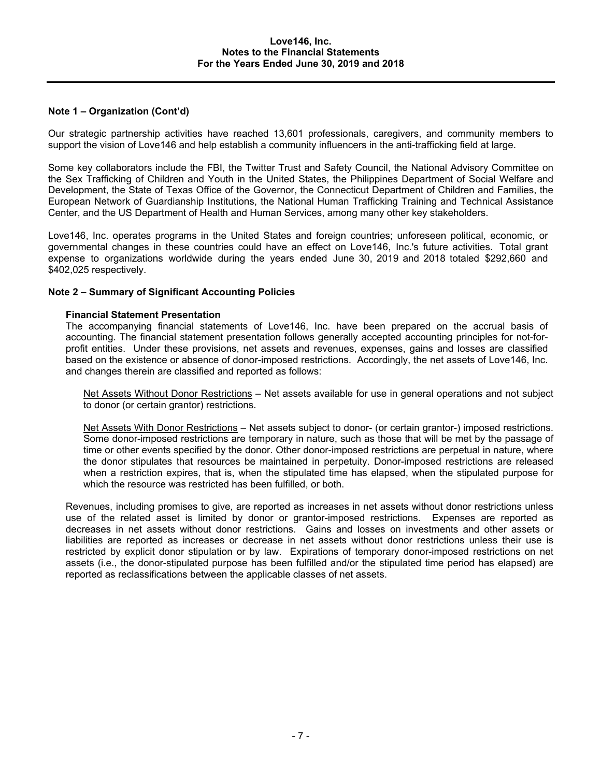## **Note 1 – Organization (Cont'd)**

Our strategic partnership activities have reached 13,601 professionals, caregivers, and community members to support the vision of Love146 and help establish a community influencers in the anti-trafficking field at large.

Some key collaborators include the FBI, the Twitter Trust and Safety Council, the National Advisory Committee on the Sex Trafficking of Children and Youth in the United States, the Philippines Department of Social Welfare and Development, the State of Texas Office of the Governor, the Connecticut Department of Children and Families, the European Network of Guardianship Institutions, the National Human Trafficking Training and Technical Assistance Center, and the US Department of Health and Human Services, among many other key stakeholders.

Love146, Inc. operates programs in the United States and foreign countries; unforeseen political, economic, or governmental changes in these countries could have an effect on Love146, Inc.'s future activities. Total grant expense to organizations worldwide during the years ended June 30, 2019 and 2018 totaled \$292,660 and \$402,025 respectively.

### **Note 2 – Summary of Significant Accounting Policies**

#### **Financial Statement Presentation**

The accompanying financial statements of Love146, Inc. have been prepared on the accrual basis of accounting. The financial statement presentation follows generally accepted accounting principles for not-forprofit entities. Under these provisions, net assets and revenues, expenses, gains and losses are classified based on the existence or absence of donor-imposed restrictions. Accordingly, the net assets of Love146, Inc. and changes therein are classified and reported as follows:

Net Assets Without Donor Restrictions – Net assets available for use in general operations and not subject to donor (or certain grantor) restrictions.

Net Assets With Donor Restrictions – Net assets subject to donor- (or certain grantor-) imposed restrictions. Some donor-imposed restrictions are temporary in nature, such as those that will be met by the passage of time or other events specified by the donor. Other donor-imposed restrictions are perpetual in nature, where the donor stipulates that resources be maintained in perpetuity. Donor-imposed restrictions are released when a restriction expires, that is, when the stipulated time has elapsed, when the stipulated purpose for which the resource was restricted has been fulfilled, or both.

Revenues, including promises to give, are reported as increases in net assets without donor restrictions unless use of the related asset is limited by donor or grantor-imposed restrictions. Expenses are reported as decreases in net assets without donor restrictions. Gains and losses on investments and other assets or liabilities are reported as increases or decrease in net assets without donor restrictions unless their use is restricted by explicit donor stipulation or by law. Expirations of temporary donor-imposed restrictions on net assets (i.e., the donor-stipulated purpose has been fulfilled and/or the stipulated time period has elapsed) are reported as reclassifications between the applicable classes of net assets.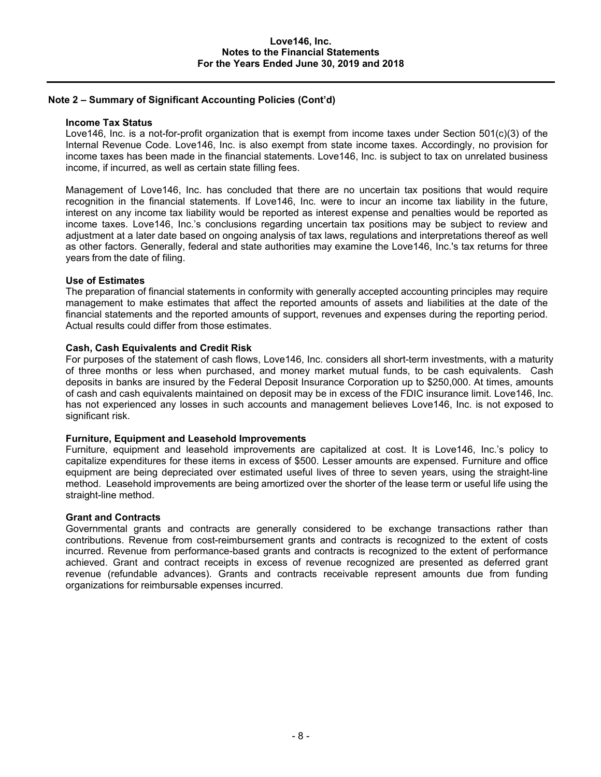## **Note 2 – Summary of Significant Accounting Policies (Cont'd)**

### **Income Tax Status**

Love146, Inc. is a not-for-profit organization that is exempt from income taxes under Section 501(c)(3) of the Internal Revenue Code. Love146, Inc. is also exempt from state income taxes. Accordingly, no provision for income taxes has been made in the financial statements. Love146, Inc. is subject to tax on unrelated business income, if incurred, as well as certain state filling fees.

Management of Love146, Inc. has concluded that there are no uncertain tax positions that would require recognition in the financial statements. If Love146, Inc. were to incur an income tax liability in the future, interest on any income tax liability would be reported as interest expense and penalties would be reported as income taxes. Love146, Inc.'s conclusions regarding uncertain tax positions may be subject to review and adjustment at a later date based on ongoing analysis of tax laws, regulations and interpretations thereof as well as other factors. Generally, federal and state authorities may examine the Love146, Inc.'s tax returns for three years from the date of filing.

### **Use of Estimates**

The preparation of financial statements in conformity with generally accepted accounting principles may require management to make estimates that affect the reported amounts of assets and liabilities at the date of the financial statements and the reported amounts of support, revenues and expenses during the reporting period. Actual results could differ from those estimates.

#### **Cash, Cash Equivalents and Credit Risk**

For purposes of the statement of cash flows, Love146, Inc. considers all short-term investments, with a maturity of three months or less when purchased, and money market mutual funds, to be cash equivalents. Cash deposits in banks are insured by the Federal Deposit Insurance Corporation up to \$250,000. At times, amounts of cash and cash equivalents maintained on deposit may be in excess of the FDIC insurance limit. Love146, Inc. has not experienced any losses in such accounts and management believes Love146, Inc. is not exposed to significant risk.

### **Furniture, Equipment and Leasehold Improvements**

Furniture, equipment and leasehold improvements are capitalized at cost. It is Love146, Inc.'s policy to capitalize expenditures for these items in excess of \$500. Lesser amounts are expensed. Furniture and office equipment are being depreciated over estimated useful lives of three to seven years, using the straight-line method. Leasehold improvements are being amortized over the shorter of the lease term or useful life using the straight-line method.

#### **Grant and Contracts**

Governmental grants and contracts are generally considered to be exchange transactions rather than contributions. Revenue from cost-reimbursement grants and contracts is recognized to the extent of costs incurred. Revenue from performance-based grants and contracts is recognized to the extent of performance achieved. Grant and contract receipts in excess of revenue recognized are presented as deferred grant revenue (refundable advances). Grants and contracts receivable represent amounts due from funding organizations for reimbursable expenses incurred.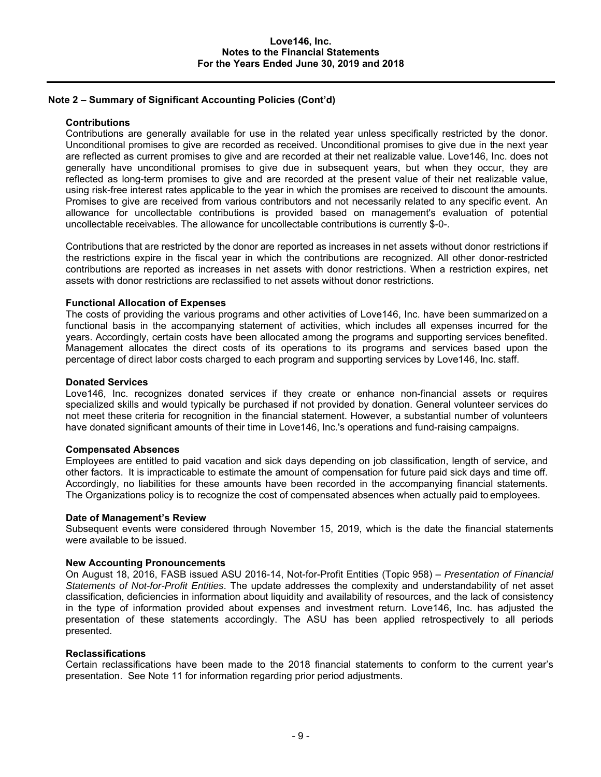# **Note 2 – Summary of Significant Accounting Policies (Cont'd)**

## **Contributions**

Contributions are generally available for use in the related year unless specifically restricted by the donor. Unconditional promises to give are recorded as received. Unconditional promises to give due in the next year are reflected as current promises to give and are recorded at their net realizable value. Love146, Inc. does not generally have unconditional promises to give due in subsequent years, but when they occur, they are reflected as long-term promises to give and are recorded at the present value of their net realizable value, using risk-free interest rates applicable to the year in which the promises are received to discount the amounts. Promises to give are received from various contributors and not necessarily related to any specific event. An allowance for uncollectable contributions is provided based on management's evaluation of potential uncollectable receivables. The allowance for uncollectable contributions is currently \$-0-.

Contributions that are restricted by the donor are reported as increases in net assets without donor restrictions if the restrictions expire in the fiscal year in which the contributions are recognized. All other donor-restricted contributions are reported as increases in net assets with donor restrictions. When a restriction expires, net assets with donor restrictions are reclassified to net assets without donor restrictions.

## **Functional Allocation of Expenses**

The costs of providing the various programs and other activities of Love146, Inc. have been summarized on a functional basis in the accompanying statement of activities, which includes all expenses incurred for the years. Accordingly, certain costs have been allocated among the programs and supporting services benefited. Management allocates the direct costs of its operations to its programs and services based upon the percentage of direct labor costs charged to each program and supporting services by Love146, Inc. staff.

### **Donated Services**

Love146, Inc. recognizes donated services if they create or enhance non-financial assets or requires specialized skills and would typically be purchased if not provided by donation. General volunteer services do not meet these criteria for recognition in the financial statement. However, a substantial number of volunteers have donated significant amounts of their time in Love146, Inc.'s operations and fund-raising campaigns.

### **Compensated Absences**

Employees are entitled to paid vacation and sick days depending on job classification, length of service, and other factors. It is impracticable to estimate the amount of compensation for future paid sick days and time off. Accordingly, no liabilities for these amounts have been recorded in the accompanying financial statements. The Organizations policy is to recognize the cost of compensated absences when actually paid to employees.

### **Date of Management's Review**

Subsequent events were considered through November 15, 2019, which is the date the financial statements were available to be issued.

### **New Accounting Pronouncements**

On August 18, 2016, FASB issued ASU 2016-14, Not-for-Profit Entities (Topic 958) – *Presentation of Financial Statements of Not-for-Profit Entities*. The update addresses the complexity and understandability of net asset classification, deficiencies in information about liquidity and availability of resources, and the lack of consistency in the type of information provided about expenses and investment return. Love146, Inc. has adjusted the presentation of these statements accordingly. The ASU has been applied retrospectively to all periods presented.

## **Reclassifications**

Certain reclassifications have been made to the 2018 financial statements to conform to the current year's presentation. See Note 11 for information regarding prior period adjustments.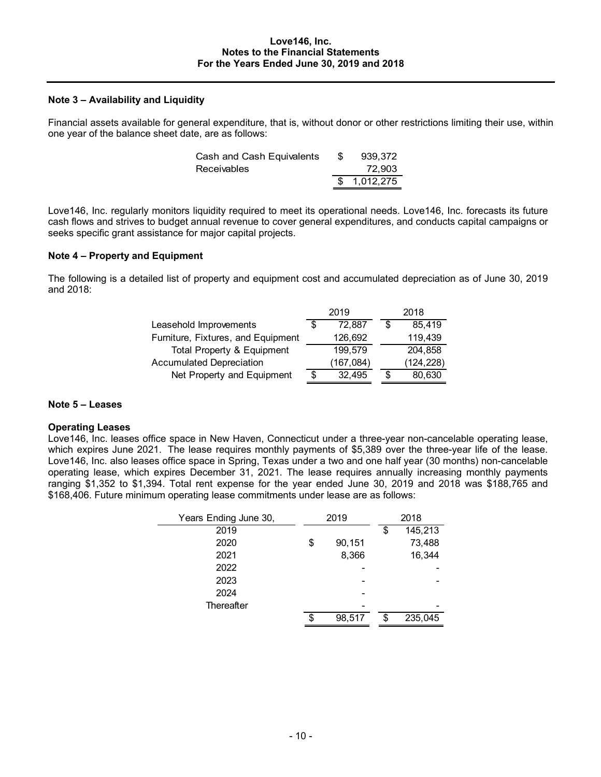# **Note 3 – Availability and Liquidity**

Financial assets available for general expenditure, that is, without donor or other restrictions limiting their use, within one year of the balance sheet date, are as follows:

| Cash and Cash Equivalents | -SS | 939.372   |
|---------------------------|-----|-----------|
| Receivables               |     | 72.903    |
|                           |     | 1.012.275 |

Love146, Inc. regularly monitors liquidity required to meet its operational needs. Love146, Inc. forecasts its future cash flows and strives to budget annual revenue to cover general expenditures, and conducts capital campaigns or seeks specific grant assistance for major capital projects.

# **Note 4 – Property and Equipment**

 $\blacksquare$ 

The following is a detailed list of property and equipment cost and accumulated depreciation as of June 30, 2019 and 2018:

|                                    |    | 2019       |   | 2018       |
|------------------------------------|----|------------|---|------------|
| Leasehold Improvements             | S  | 72.887     | S | 85.419     |
| Furniture, Fixtures, and Equipment |    | 126,692    |   | 119,439    |
| Total Property & Equipment         |    | 199,579    |   | 204,858    |
| <b>Accumulated Depreciation</b>    |    | (167, 084) |   | (124, 228) |
| Net Property and Equipment         | \$ | 32,495     |   | 80,630     |

# **Note 5 – Leases**

# **Operating Leases**

Love146, Inc. leases office space in New Haven, Connecticut under a three-year non-cancelable operating lease, which expires June 2021. The lease requires monthly payments of \$5,389 over the three-year life of the lease. Love146, Inc. also leases office space in Spring, Texas under a two and one half year (30 months) non-cancelable operating lease, which expires December 31, 2021. The lease requires annually increasing monthly payments ranging \$1,352 to \$1,394. Total rent expense for the year ended June 30, 2019 and 2018 was \$188,765 and \$168,406. Future minimum operating lease commitments under lease are as follows:

| Years Ending June 30, | 2019         |    | 2018    |
|-----------------------|--------------|----|---------|
| 2019                  |              | \$ | 145,213 |
| 2020                  | \$<br>90,151 |    | 73,488  |
| 2021                  | 8,366        |    | 16,344  |
| 2022                  |              |    |         |
| 2023                  |              |    |         |
| 2024                  |              |    |         |
| Thereafter            |              |    |         |
|                       | \$<br>98,517 | ß. | 235,045 |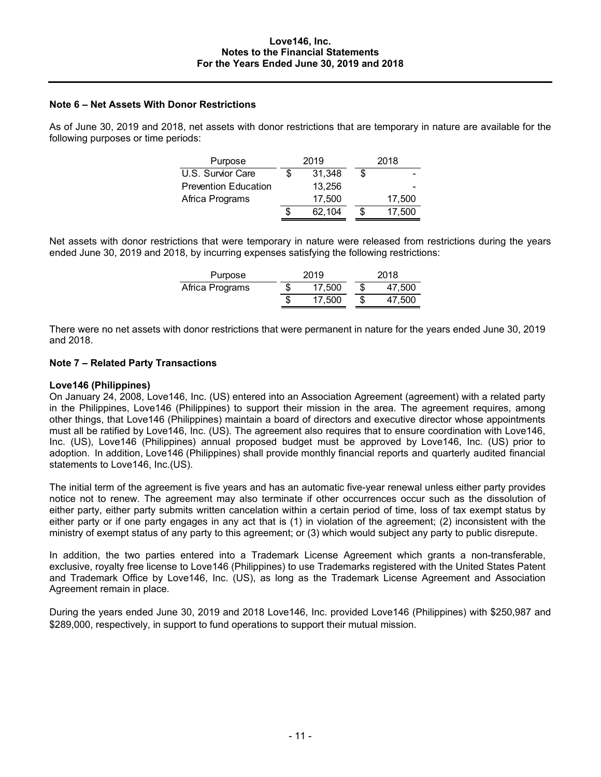## **Note 6 – Net Assets With Donor Restrictions**

As of June 30, 2019 and 2018, net assets with donor restrictions that are temporary in nature are available for the following purposes or time periods:

| Purpose                     | 2019   | 2018   |
|-----------------------------|--------|--------|
| U.S. Survior Care           | 31,348 |        |
| <b>Prevention Education</b> | 13.256 |        |
| Africa Programs             | 17,500 | 17,500 |
|                             | 62,104 | 17,500 |

Net assets with donor restrictions that were temporary in nature were released from restrictions during the years ended June 30, 2019 and 2018, by incurring expenses satisfying the following restrictions:

| Purpose         |        | 2019   |   | 2018   |
|-----------------|--------|--------|---|--------|
| Africa Programs | 17.500 |        |   | 47.500 |
|                 |        | 17,500 | S | 47,500 |

There were no net assets with donor restrictions that were permanent in nature for the years ended June 30, 2019 and 2018.

## **Note 7 – Related Party Transactions**

## **Love146 (Philippines)**

On January 24, 2008, Love146, Inc. (US) entered into an Association Agreement (agreement) with a related party in the Philippines, Love146 (Philippines) to support their mission in the area. The agreement requires, among other things, that Love146 (Philippines) maintain a board of directors and executive director whose appointments must all be ratified by Love146, Inc. (US). The agreement also requires that to ensure coordination with Love146, Inc. (US), Love146 (Philippines) annual proposed budget must be approved by Love146, Inc. (US) prior to adoption. In addition, Love146 (Philippines) shall provide monthly financial reports and quarterly audited financial statements to Love146, Inc.(US).

The initial term of the agreement is five years and has an automatic five-year renewal unless either party provides notice not to renew. The agreement may also terminate if other occurrences occur such as the dissolution of either party, either party submits written cancelation within a certain period of time, loss of tax exempt status by either party or if one party engages in any act that is (1) in violation of the agreement; (2) inconsistent with the ministry of exempt status of any party to this agreement; or (3) which would subject any party to public disrepute.

In addition, the two parties entered into a Trademark License Agreement which grants a non-transferable, exclusive, royalty free license to Love146 (Philippines) to use Trademarks registered with the United States Patent and Trademark Office by Love146, Inc. (US), as long as the Trademark License Agreement and Association Agreement remain in place.

During the years ended June 30, 2019 and 2018 Love146, Inc. provided Love146 (Philippines) with \$250,987 and \$289,000, respectively, in support to fund operations to support their mutual mission.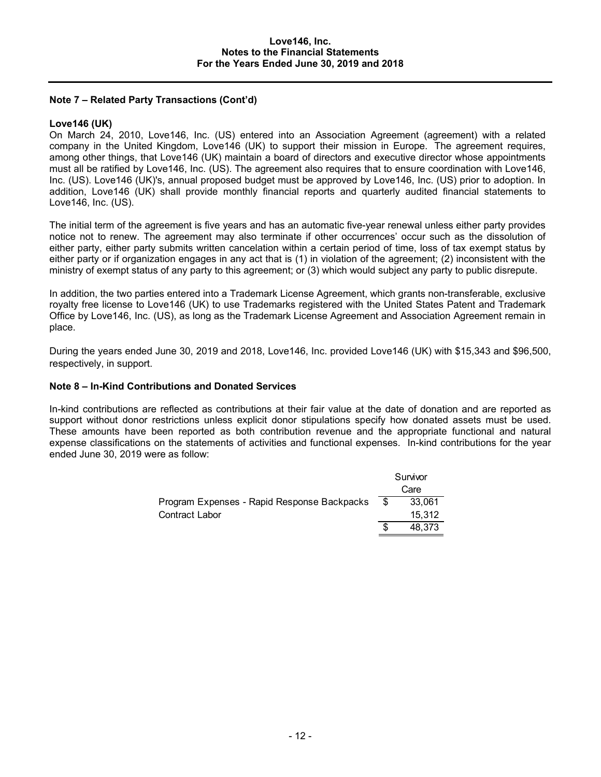# **Note 7 – Related Party Transactions (Cont'd)**

## **Love146 (UK)**

On March 24, 2010, Love146, Inc. (US) entered into an Association Agreement (agreement) with a related company in the United Kingdom, Love146 (UK) to support their mission in Europe. The agreement requires, among other things, that Love146 (UK) maintain a board of directors and executive director whose appointments must all be ratified by Love146, Inc. (US). The agreement also requires that to ensure coordination with Love146, Inc. (US). Love146 (UK)'s, annual proposed budget must be approved by Love146, Inc. (US) prior to adoption. In addition, Love146 (UK) shall provide monthly financial reports and quarterly audited financial statements to Love146, Inc. (US).

The initial term of the agreement is five years and has an automatic five-year renewal unless either party provides notice not to renew. The agreement may also terminate if other occurrences' occur such as the dissolution of either party, either party submits written cancelation within a certain period of time, loss of tax exempt status by either party or if organization engages in any act that is (1) in violation of the agreement; (2) inconsistent with the ministry of exempt status of any party to this agreement; or (3) which would subject any party to public disrepute.

In addition, the two parties entered into a Trademark License Agreement, which grants non-transferable, exclusive royalty free license to Love146 (UK) to use Trademarks registered with the United States Patent and Trademark Office by Love146, Inc. (US), as long as the Trademark License Agreement and Association Agreement remain in place.

During the years ended June 30, 2019 and 2018, Love146, Inc. provided Love146 (UK) with \$15,343 and \$96,500, respectively, in support.

### **Note 8 – In-Kind Contributions and Donated Services**

In-kind contributions are reflected as contributions at their fair value at the date of donation and are reported as support without donor restrictions unless explicit donor stipulations specify how donated assets must be used. These amounts have been reported as both contribution revenue and the appropriate functional and natural expense classifications on the statements of activities and functional expenses. In-kind contributions for the year ended June 30, 2019 were as follow:

|                                             |      | Survivor |
|---------------------------------------------|------|----------|
|                                             |      | Care     |
| Program Expenses - Rapid Response Backpacks | - \$ | 33.061   |
| Contract Labor                              |      | 15.312   |
|                                             |      | 48.373   |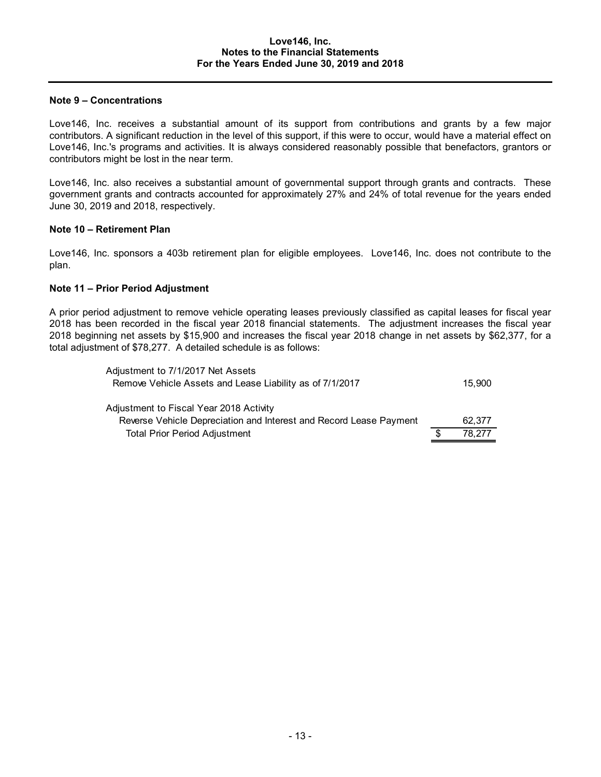# **Note 9 – Concentrations**

Love146, Inc. receives a substantial amount of its support from contributions and grants by a few major contributors. A significant reduction in the level of this support, if this were to occur, would have a material effect on Love146, Inc.'s programs and activities. It is always considered reasonably possible that benefactors, grantors or contributors might be lost in the near term.

Love146, Inc. also receives a substantial amount of governmental support through grants and contracts. These government grants and contracts accounted for approximately 27% and 24% of total revenue for the years ended June 30, 2019 and 2018, respectively.

# **Note 10 – Retirement Plan**

Love146, Inc. sponsors a 403b retirement plan for eligible employees. Love146, Inc. does not contribute to the plan.

# **Note 11 – Prior Period Adjustment**

A prior period adjustment to remove vehicle operating leases previously classified as capital leases for fiscal year 2018 has been recorded in the fiscal year 2018 financial statements. The adjustment increases the fiscal year 2018 beginning net assets by \$15,900 and increases the fiscal year 2018 change in net assets by \$62,377, for a total adjustment of \$78,277. A detailed schedule is as follows:

| Adjustment to 7/1/2017 Net Assets                                  |        |
|--------------------------------------------------------------------|--------|
| Remove Vehicle Assets and Lease Liability as of 7/1/2017           | 15.900 |
|                                                                    |        |
| Adjustment to Fiscal Year 2018 Activity                            |        |
| Reverse Vehicle Depreciation and Interest and Record Lease Payment | 62.377 |
| <b>Total Prior Period Adjustment</b>                               | 78.277 |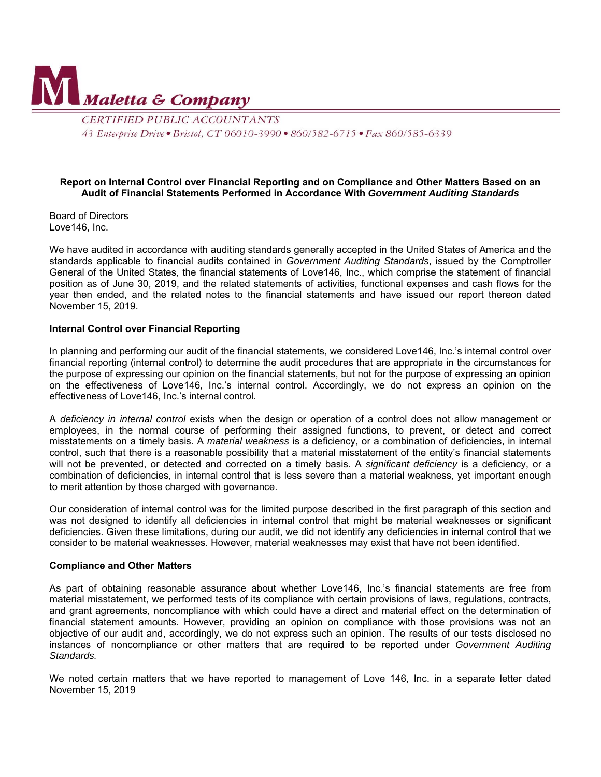

CERTIFIED PUBLIC ACCOUNTANTS 43 Enterprise Drive • Bristol, CT 06010-3990 • 860/582-6715 • Fax 860/585-6339

### **Report on Internal Control over Financial Reporting and on Compliance and Other Matters Based on an Audit of Financial Statements Performed in Accordance With** *Government Auditing Standards*

Board of Directors Love146, Inc.

We have audited in accordance with auditing standards generally accepted in the United States of America and the standards applicable to financial audits contained in *Government Auditing Standards*, issued by the Comptroller General of the United States, the financial statements of Love146, Inc., which comprise the statement of financial position as of June 30, 2019, and the related statements of activities, functional expenses and cash flows for the year then ended, and the related notes to the financial statements and have issued our report thereon dated November 15, 2019.

### **Internal Control over Financial Reporting**

In planning and performing our audit of the financial statements, we considered Love146, Inc.'s internal control over financial reporting (internal control) to determine the audit procedures that are appropriate in the circumstances for the purpose of expressing our opinion on the financial statements, but not for the purpose of expressing an opinion on the effectiveness of Love146, Inc.'s internal control. Accordingly, we do not express an opinion on the effectiveness of Love146, Inc.'s internal control.

A *deficiency in internal control* exists when the design or operation of a control does not allow management or employees, in the normal course of performing their assigned functions, to prevent, or detect and correct misstatements on a timely basis. A *material weakness* is a deficiency, or a combination of deficiencies, in internal control, such that there is a reasonable possibility that a material misstatement of the entity's financial statements will not be prevented, or detected and corrected on a timely basis. A *significant deficiency* is a deficiency, or a combination of deficiencies, in internal control that is less severe than a material weakness, yet important enough to merit attention by those charged with governance.

Our consideration of internal control was for the limited purpose described in the first paragraph of this section and was not designed to identify all deficiencies in internal control that might be material weaknesses or significant deficiencies. Given these limitations, during our audit, we did not identify any deficiencies in internal control that we consider to be material weaknesses. However, material weaknesses may exist that have not been identified.

### **Compliance and Other Matters**

As part of obtaining reasonable assurance about whether Love146, Inc.'s financial statements are free from material misstatement, we performed tests of its compliance with certain provisions of laws, regulations, contracts, and grant agreements, noncompliance with which could have a direct and material effect on the determination of financial statement amounts. However, providing an opinion on compliance with those provisions was not an objective of our audit and, accordingly, we do not express such an opinion. The results of our tests disclosed no instances of noncompliance or other matters that are required to be reported under *Government Auditing Standards.*

We noted certain matters that we have reported to management of Love 146, Inc. in a separate letter dated November 15, 2019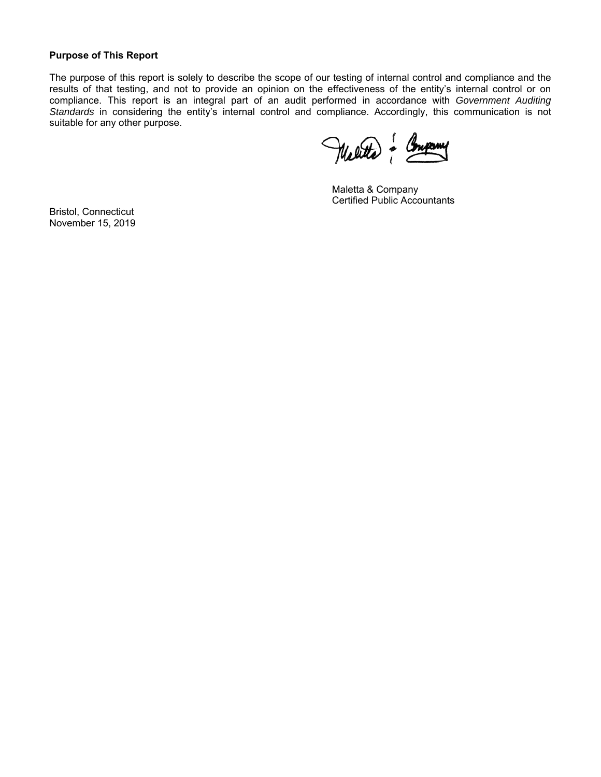## **Purpose of This Report**

The purpose of this report is solely to describe the scope of our testing of internal control and compliance and the results of that testing, and not to provide an opinion on the effectiveness of the entity's internal control or on compliance. This report is an integral part of an audit performed in accordance with *Government Auditing Standards* in considering the entity's internal control and compliance. Accordingly, this communication is not suitable for any other purpose.

Meletter : Brepomy

Maletta & Company Certified Public Accountants

Bristol, Connecticut November 15, 2019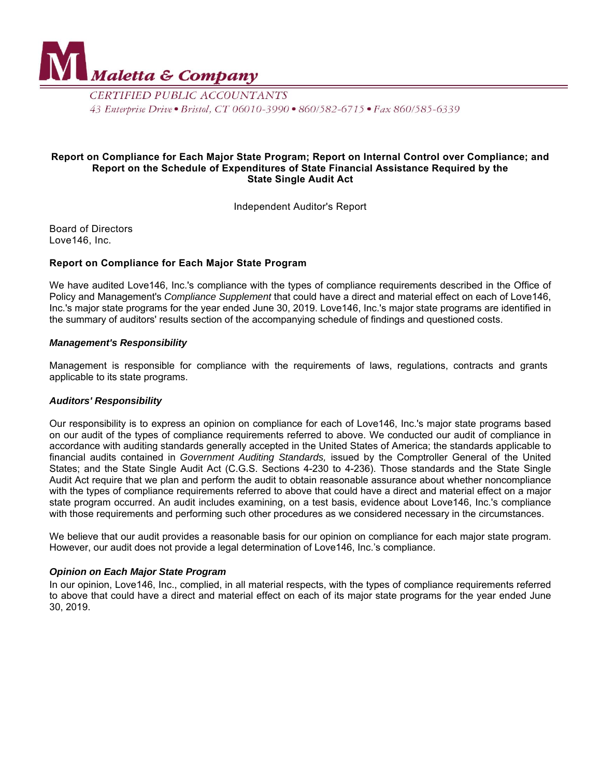

CERTIFIED PUBLIC ACCOUNTANTS 43 Enterprise Drive • Bristol, CT 06010-3990 • 860/582-6715 • Fax 860/585-6339

### **Report on Compliance for Each Major State Program; Report on Internal Control over Compliance; and Report on the Schedule of Expenditures of State Financial Assistance Required by the State Single Audit Act**

Independent Auditor's Report

Board of Directors Love146, Inc.

## **Report on Compliance for Each Major State Program**

We have audited Love146, Inc.'s compliance with the types of compliance requirements described in the Office of Policy and Management's *Compliance Supplement* that could have a direct and material effect on each of Love146, Inc.'s major state programs for the year ended June 30, 2019. Love146, Inc.'s major state programs are identified in the summary of auditors' results section of the accompanying schedule of findings and questioned costs.

### *Management's Responsibility*

Management is responsible for compliance with the requirements of laws, regulations, contracts and grants applicable to its state programs.

### *Auditors' Responsibility*

Our responsibility is to express an opinion on compliance for each of Love146, Inc.'s major state programs based on our audit of the types of compliance requirements referred to above. We conducted our audit of compliance in accordance with auditing standards generally accepted in the United States of America; the standards applicable to financial audits contained in *Government Auditing Standards,* issued by the Comptroller General of the United States; and the State Single Audit Act (C.G.S. Sections 4-230 to 4-236). Those standards and the State Single Audit Act require that we plan and perform the audit to obtain reasonable assurance about whether noncompliance with the types of compliance requirements referred to above that could have a direct and material effect on a major state program occurred. An audit includes examining, on a test basis, evidence about Love146, Inc.'s compliance with those requirements and performing such other procedures as we considered necessary in the circumstances.

We believe that our audit provides a reasonable basis for our opinion on compliance for each major state program. However, our audit does not provide a legal determination of Love146, Inc.'s compliance.

### *Opinion on Each Major State Program*

In our opinion, Love146, Inc., complied, in all material respects, with the types of compliance requirements referred to above that could have a direct and material effect on each of its major state programs for the year ended June 30, 2019.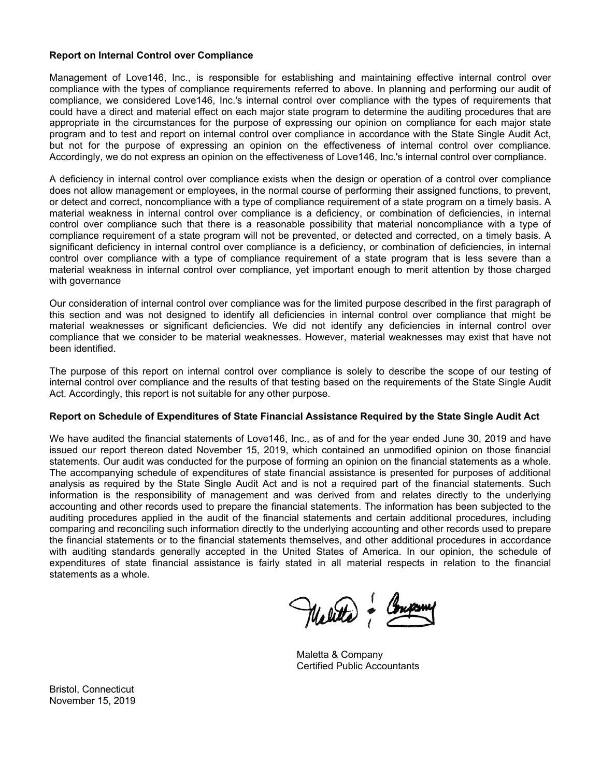### **Report on Internal Control over Compliance**

Management of Love146, Inc., is responsible for establishing and maintaining effective internal control over compliance with the types of compliance requirements referred to above. In planning and performing our audit of compliance, we considered Love146, Inc.'s internal control over compliance with the types of requirements that could have a direct and material effect on each major state program to determine the auditing procedures that are appropriate in the circumstances for the purpose of expressing our opinion on compliance for each major state program and to test and report on internal control over compliance in accordance with the State Single Audit Act, but not for the purpose of expressing an opinion on the effectiveness of internal control over compliance. Accordingly, we do not express an opinion on the effectiveness of Love146, Inc.'s internal control over compliance.

A deficiency in internal control over compliance exists when the design or operation of a control over compliance does not allow management or employees, in the normal course of performing their assigned functions, to prevent, or detect and correct, noncompliance with a type of compliance requirement of a state program on a timely basis. A material weakness in internal control over compliance is a deficiency, or combination of deficiencies, in internal control over compliance such that there is a reasonable possibility that material noncompliance with a type of compliance requirement of a state program will not be prevented, or detected and corrected, on a timely basis. A significant deficiency in internal control over compliance is a deficiency, or combination of deficiencies, in internal control over compliance with a type of compliance requirement of a state program that is less severe than a material weakness in internal control over compliance, yet important enough to merit attention by those charged with governance

Our consideration of internal control over compliance was for the limited purpose described in the first paragraph of this section and was not designed to identify all deficiencies in internal control over compliance that might be material weaknesses or significant deficiencies. We did not identify any deficiencies in internal control over compliance that we consider to be material weaknesses. However, material weaknesses may exist that have not been identified.

The purpose of this report on internal control over compliance is solely to describe the scope of our testing of internal control over compliance and the results of that testing based on the requirements of the State Single Audit Act. Accordingly, this report is not suitable for any other purpose.

### **Report on Schedule of Expenditures of State Financial Assistance Required by the State Single Audit Act**

We have audited the financial statements of Love146, Inc., as of and for the year ended June 30, 2019 and have issued our report thereon dated November 15, 2019, which contained an unmodified opinion on those financial statements. Our audit was conducted for the purpose of forming an opinion on the financial statements as a whole. The accompanying schedule of expenditures of state financial assistance is presented for purposes of additional analysis as required by the State Single Audit Act and is not a required part of the financial statements. Such information is the responsibility of management and was derived from and relates directly to the underlying accounting and other records used to prepare the financial statements. The information has been subjected to the auditing procedures applied in the audit of the financial statements and certain additional procedures, including comparing and reconciling such information directly to the underlying accounting and other records used to prepare the financial statements or to the financial statements themselves, and other additional procedures in accordance with auditing standards generally accepted in the United States of America. In our opinion, the schedule of expenditures of state financial assistance is fairly stated in all material respects in relation to the financial statements as a whole.

Melitte - Brugan

Maletta & Company Certified Public Accountants

Bristol, Connecticut November 15, 2019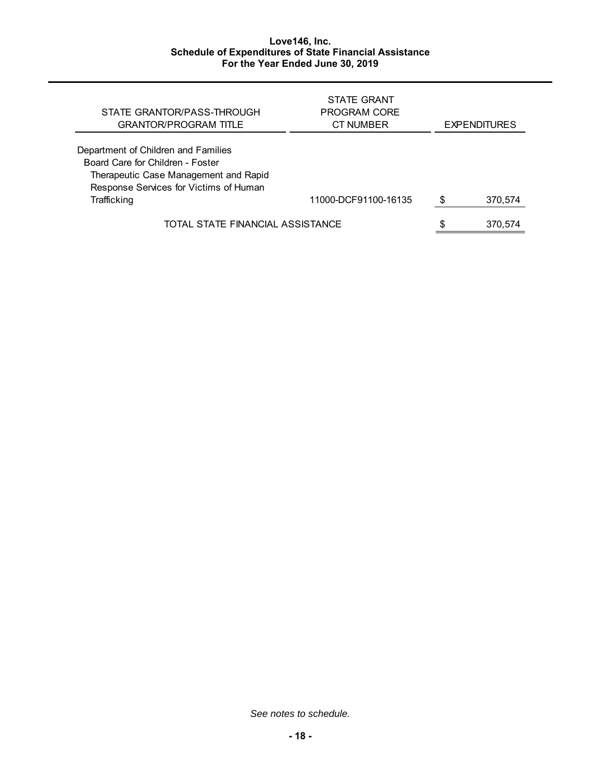### **Love146, Inc. Schedule of Expenditures of State Financial Assistance For the Year Ended June 30, 2019**

|                                                                                                                                                            | <b>STATE GRANT</b>   |    |                     |  |
|------------------------------------------------------------------------------------------------------------------------------------------------------------|----------------------|----|---------------------|--|
| STATE GRANTOR/PASS-THROUGH                                                                                                                                 | PROGRAM CORE         |    |                     |  |
| <b>GRANTOR/PROGRAM TITLE</b>                                                                                                                               | <b>CT NUMBER</b>     |    | <b>EXPENDITURES</b> |  |
| Department of Children and Families<br>Board Care for Children - Foster<br>Therapeutic Case Management and Rapid<br>Response Services for Victims of Human |                      |    |                     |  |
| Trafficking                                                                                                                                                | 11000-DCF91100-16135 | \$ | 370,574             |  |
| TOTAL STATE FINANCIAL ASSISTANCE                                                                                                                           |                      |    | 370,574             |  |

*See notes to schedule.*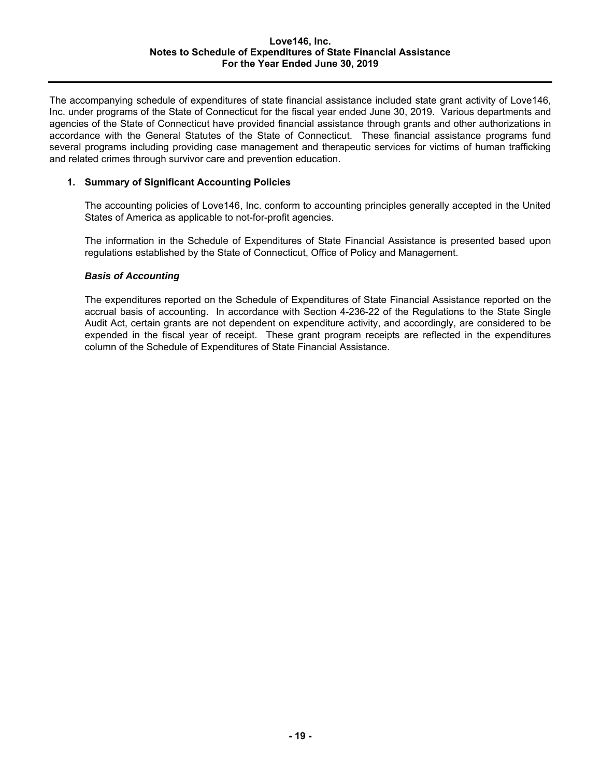#### **Love146, Inc. Notes to Schedule of Expenditures of State Financial Assistance For the Year Ended June 30, 2019**

The accompanying schedule of expenditures of state financial assistance included state grant activity of Love146, Inc. under programs of the State of Connecticut for the fiscal year ended June 30, 2019. Various departments and agencies of the State of Connecticut have provided financial assistance through grants and other authorizations in accordance with the General Statutes of the State of Connecticut. These financial assistance programs fund several programs including providing case management and therapeutic services for victims of human trafficking and related crimes through survivor care and prevention education.

# **1. Summary of Significant Accounting Policies**

The accounting policies of Love146, Inc. conform to accounting principles generally accepted in the United States of America as applicable to not-for-profit agencies.

The information in the Schedule of Expenditures of State Financial Assistance is presented based upon regulations established by the State of Connecticut, Office of Policy and Management.

## *Basis of Accounting*

The expenditures reported on the Schedule of Expenditures of State Financial Assistance reported on the accrual basis of accounting. In accordance with Section 4-236-22 of the Regulations to the State Single Audit Act, certain grants are not dependent on expenditure activity, and accordingly, are considered to be expended in the fiscal year of receipt. These grant program receipts are reflected in the expenditures column of the Schedule of Expenditures of State Financial Assistance.